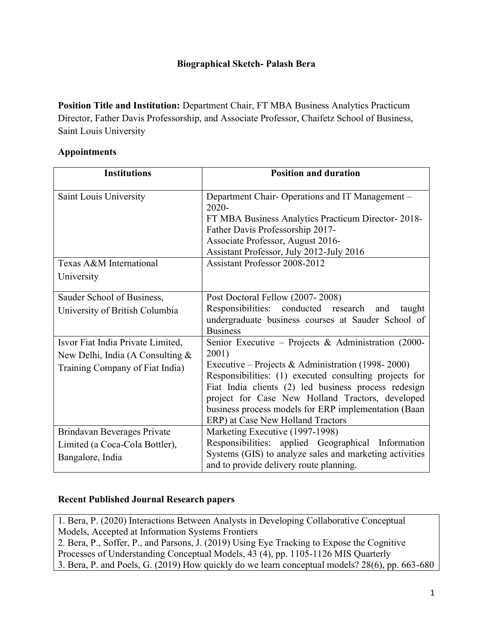#### Biographical Sketch- Palash Bera

Position Title and Institution: Department Chair, FT MBA Business Analytics Practicum Director, Father Davis Professorship, and Associate Professor, Chaifetz School of Business, Saint Louis University

#### Appointments

| <b>Institutions</b>                | <b>Position and duration</b>                                                                             |  |  |  |
|------------------------------------|----------------------------------------------------------------------------------------------------------|--|--|--|
| Saint Louis University             | Department Chair-Operations and IT Management -<br>2020-                                                 |  |  |  |
|                                    | FT MBA Business Analytics Practicum Director-2018-<br>Father Davis Professorship 2017-                   |  |  |  |
|                                    | Associate Professor, August 2016-                                                                        |  |  |  |
|                                    | Assistant Professor, July 2012-July 2016                                                                 |  |  |  |
| Texas A&M International            | Assistant Professor 2008-2012                                                                            |  |  |  |
| University                         |                                                                                                          |  |  |  |
| Sauder School of Business,         | Post Doctoral Fellow (2007-2008)                                                                         |  |  |  |
| University of British Columbia     | Responsibilities: conducted research and<br>taught                                                       |  |  |  |
|                                    | undergraduate business courses at Sauder School of<br><b>Business</b>                                    |  |  |  |
| Isvor Fiat India Private Limited,  | Senior Executive - Projects & Administration (2000-                                                      |  |  |  |
| New Delhi, India (A Consulting $&$ | 2001)                                                                                                    |  |  |  |
| Training Company of Fiat India)    | Executive – Projects & Administration (1998-2000)                                                        |  |  |  |
|                                    | Responsibilities: (1) executed consulting projects for                                                   |  |  |  |
|                                    | Fiat India clients (2) led business process redesign                                                     |  |  |  |
|                                    | project for Case New Holland Tractors, developed<br>business process models for ERP implementation (Baan |  |  |  |
|                                    | ERP) at Case New Holland Tractors                                                                        |  |  |  |
| Brindavan Beverages Private        | Marketing Executive (1997-1998)                                                                          |  |  |  |
| Limited (a Coca-Cola Bottler),     | Responsibilities: applied Geographical Information                                                       |  |  |  |
| Bangalore, India                   | Systems (GIS) to analyze sales and marketing activities<br>and to provide delivery route planning.       |  |  |  |

#### Recent Published Journal Research papers

1. Bera, P. (2020) Interactions Between Analysts in Developing Collaborative Conceptual Models, Accepted at Information Systems Frontiers 2. Bera, P., Soffer, P., and Parsons, J. (2019) Using Eye Tracking to Expose the Cognitive Processes of Understanding Conceptual Models, 43 (4), pp. 1105-1126 MIS Quarterly 3. Bera, P. and Poels, G. (2019) How quickly do we learn conceptual models? 28(6), pp. 663-680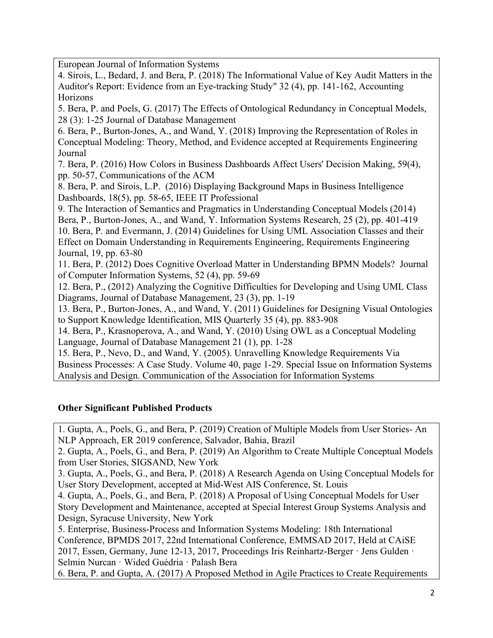European Journal of Information Systems

4. Sirois, L., Bedard, J. and Bera, P. (2018) The Informational Value of Key Audit Matters in the Auditor's Report: Evidence from an Eye-tracking Study" 32 (4), pp. 141-162, Accounting Horizons

5. Bera, P. and Poels, G. (2017) The Effects of Ontological Redundancy in Conceptual Models, 28 (3): 1-25 Journal of Database Management

6. Bera, P., Burton-Jones, A., and Wand, Y. (2018) Improving the Representation of Roles in Conceptual Modeling: Theory, Method, and Evidence accepted at Requirements Engineering Journal

7. Bera, P. (2016) How Colors in Business Dashboards Affect Users' Decision Making, 59(4), pp. 50-57, Communications of the ACM

8. Bera, P. and Sirois, L.P. (2016) Displaying Background Maps in Business Intelligence Dashboards, 18(5), pp. 58-65, IEEE IT Professional

9. The Interaction of Semantics and Pragmatics in Understanding Conceptual Models (2014) Bera, P., Burton-Jones, A., and Wand, Y. Information Systems Research, 25 (2), pp. 401-419 10. Bera, P. and Evermann, J. (2014) Guidelines for Using UML Association Classes and their

Effect on Domain Understanding in Requirements Engineering, Requirements Engineering Journal, 19, pp. 63-80

11. Bera, P. (2012) Does Cognitive Overload Matter in Understanding BPMN Models? Journal of Computer Information Systems, 52 (4), pp. 59-69

12. Bera, P., (2012) Analyzing the Cognitive Difficulties for Developing and Using UML Class Diagrams, Journal of Database Management, 23 (3), pp. 1-19

13. Bera, P., Burton-Jones, A., and Wand, Y. (2011) Guidelines for Designing Visual Ontologies to Support Knowledge Identification, MIS Quarterly 35 (4), pp. 883-908

14. Bera, P., Krasnoperova, A., and Wand, Y. (2010) Using OWL as a Conceptual Modeling Language, Journal of Database Management 21 (1), pp. 1-28

15. Bera, P., Nevo, D., and Wand, Y. (2005). Unravelling Knowledge Requirements Via Business Processes: A Case Study. Volume 40, page 1-29. Special Issue on Information Systems Analysis and Design. Communication of the Association for Information Systems

# Other Significant Published Products

1. Gupta, A., Poels, G., and Bera, P. (2019) Creation of Multiple Models from User Stories- An NLP Approach, ER 2019 conference, Salvador, Bahia, Brazil

2. Gupta, A., Poels, G., and Bera, P. (2019) An Algorithm to Create Multiple Conceptual Models from User Stories, SIGSAND, New York

3. Gupta, A., Poels, G., and Bera, P. (2018) A Research Agenda on Using Conceptual Models for User Story Development, accepted at Mid-West AIS Conference, St. Louis

4. Gupta, A., Poels, G., and Bera, P. (2018) A Proposal of Using Conceptual Models for User Story Development and Maintenance, accepted at Special Interest Group Systems Analysis and Design, Syracuse University, New York

5. Enterprise, Business-Process and Information Systems Modeling: 18th International Conference, BPMDS 2017, 22nd International Conference, EMMSAD 2017, Held at CAiSE 2017, Essen, Germany, June 12-13, 2017, Proceedings Iris Reinhartz-Berger · Jens Gulden · Selmin Nurcan · Wided Guédria · Palash Bera

6. Bera, P. and Gupta, A. (2017) A Proposed Method in Agile Practices to Create Requirements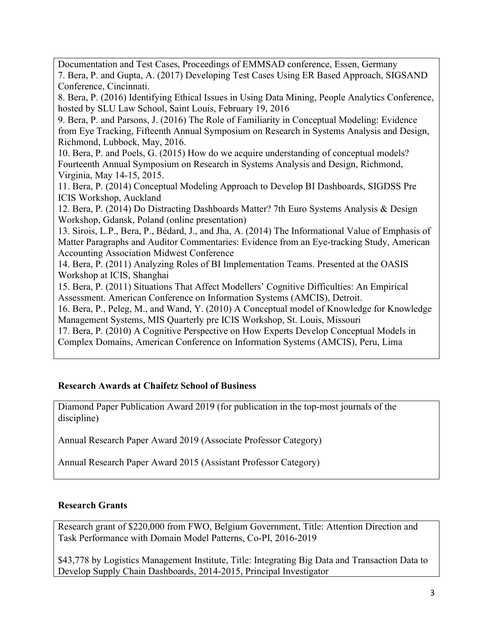Documentation and Test Cases, Proceedings of EMMSAD conference, Essen, Germany 7. Bera, P. and Gupta, A. (2017) Developing Test Cases Using ER Based Approach, SIGSAND Conference, Cincinnati.

8. Bera, P. (2016) Identifying Ethical Issues in Using Data Mining, People Analytics Conference, hosted by SLU Law School, Saint Louis, February 19, 2016

9. Bera, P. and Parsons, J. (2016) The Role of Familiarity in Conceptual Modeling: Evidence from Eye Tracking, Fifteenth Annual Symposium on Research in Systems Analysis and Design, Richmond, Lubbock, May, 2016.

10. Bera, P. and Poels, G. (2015) How do we acquire understanding of conceptual models? Fourteenth Annual Symposium on Research in Systems Analysis and Design, Richmond, Virginia, May 14-15, 2015.

11. Bera, P. (2014) Conceptual Modeling Approach to Develop BI Dashboards, SIGDSS Pre ICIS Workshop, Auckland

12. Bera, P. (2014) Do Distracting Dashboards Matter? 7th Euro Systems Analysis & Design Workshop, Gdansk, Poland (online presentation)

13. Sirois, L.P., Bera, P., Bédard, J., and Jha, A. (2014) The Informational Value of Emphasis of Matter Paragraphs and Auditor Commentaries: Evidence from an Eye-tracking Study, American Accounting Association Midwest Conference

14. Bera, P. (2011) Analyzing Roles of BI Implementation Teams. Presented at the OASIS Workshop at ICIS, Shanghai

15. Bera, P. (2011) Situations That Affect Modellers' Cognitive Difficulties: An Empirical Assessment. American Conference on Information Systems (AMCIS), Detroit.

16. Bera, P., Peleg, M., and Wand, Y. (2010) A Conceptual model of Knowledge for Knowledge Management Systems, MIS Quarterly pre ICIS Workshop, St. Louis, Missouri

17. Bera, P. (2010) A Cognitive Perspective on How Experts Develop Conceptual Models in Complex Domains, American Conference on Information Systems (AMCIS), Peru, Lima

# Research Awards at Chaifetz School of Business

Diamond Paper Publication Award 2019 (for publication in the top-most journals of the discipline)

Annual Research Paper Award 2019 (Associate Professor Category)

Annual Research Paper Award 2015 (Assistant Professor Category)

# Research Grants

Research grant of \$220,000 from FWO, Belgium Government, Title: Attention Direction and Task Performance with Domain Model Patterns, Co-PI, 2016-2019

\$43,778 by Logistics Management Institute, Title: Integrating Big Data and Transaction Data to Develop Supply Chain Dashboards, 2014-2015, Principal Investigator